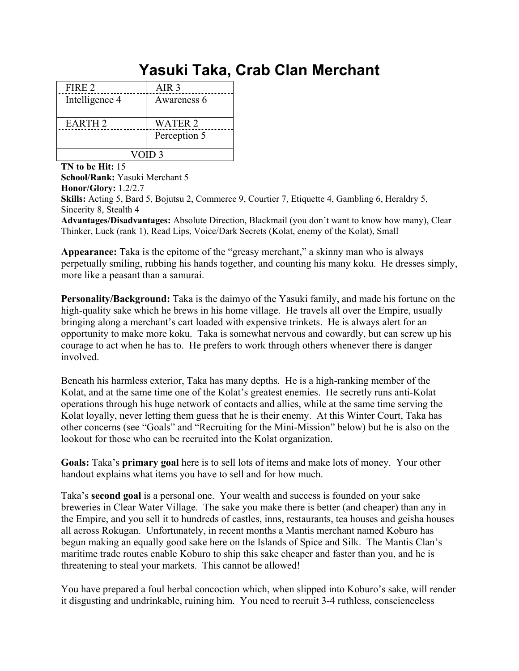## **Yasuki Taka, Crab Clan Merchant**

| FIRE 2         | AIR 3          |
|----------------|----------------|
| Intelligence 4 | Awareness 6    |
| <b>EARTH 2</b> | <b>WATER 2</b> |
|                | Perception 5   |
| VOID 3         |                |

**TN to be Hit:** 15

**School/Rank:** Yasuki Merchant 5 **Honor/Glory:** 1.2/2.7 **Skills:** Acting 5, Bard 5, Bojutsu 2, Commerce 9, Courtier 7, Etiquette 4, Gambling 6, Heraldry 5, Sincerity 8, Stealth 4 **Advantages/Disadvantages:** Absolute Direction, Blackmail (you don't want to know how many), Clear Thinker, Luck (rank 1), Read Lips, Voice/Dark Secrets (Kolat, enemy of the Kolat), Small

**Appearance:** Taka is the epitome of the "greasy merchant," a skinny man who is always perpetually smiling, rubbing his hands together, and counting his many koku. He dresses simply, more like a peasant than a samurai.

**Personality/Background:** Taka is the daimyo of the Yasuki family, and made his fortune on the high-quality sake which he brews in his home village. He travels all over the Empire, usually bringing along a merchant's cart loaded with expensive trinkets. He is always alert for an opportunity to make more koku. Taka is somewhat nervous and cowardly, but can screw up his courage to act when he has to. He prefers to work through others whenever there is danger involved.

Beneath his harmless exterior, Taka has many depths. He is a high-ranking member of the Kolat, and at the same time one of the Kolat's greatest enemies. He secretly runs anti-Kolat operations through his huge network of contacts and allies, while at the same time serving the Kolat loyally, never letting them guess that he is their enemy. At this Winter Court, Taka has other concerns (see "Goals" and "Recruiting for the Mini-Mission" below) but he is also on the lookout for those who can be recruited into the Kolat organization.

**Goals:** Taka's **primary goal** here is to sell lots of items and make lots of money. Your other handout explains what items you have to sell and for how much.

Taka's **second goal** is a personal one. Your wealth and success is founded on your sake breweries in Clear Water Village. The sake you make there is better (and cheaper) than any in the Empire, and you sell it to hundreds of castles, inns, restaurants, tea houses and geisha houses all across Rokugan. Unfortunately, in recent months a Mantis merchant named Koburo has begun making an equally good sake here on the Islands of Spice and Silk. The Mantis Clan's maritime trade routes enable Koburo to ship this sake cheaper and faster than you, and he is threatening to steal your markets. This cannot be allowed!

You have prepared a foul herbal concoction which, when slipped into Koburo's sake, will render it disgusting and undrinkable, ruining him. You need to recruit 3-4 ruthless, conscienceless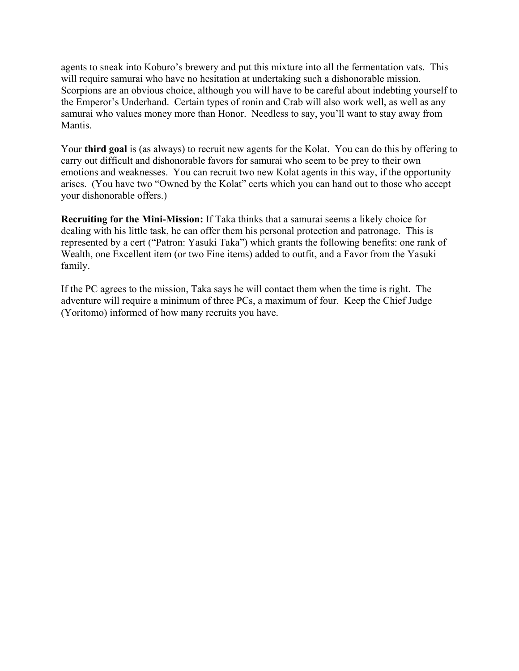agents to sneak into Koburo's brewery and put this mixture into all the fermentation vats. This will require samurai who have no hesitation at undertaking such a dishonorable mission. Scorpions are an obvious choice, although you will have to be careful about indebting yourself to the Emperor's Underhand. Certain types of ronin and Crab will also work well, as well as any samurai who values money more than Honor. Needless to say, you'll want to stay away from Mantis.

Your **third goal** is (as always) to recruit new agents for the Kolat. You can do this by offering to carry out difficult and dishonorable favors for samurai who seem to be prey to their own emotions and weaknesses. You can recruit two new Kolat agents in this way, if the opportunity arises. (You have two "Owned by the Kolat" certs which you can hand out to those who accept your dishonorable offers.)

**Recruiting for the Mini-Mission:** If Taka thinks that a samurai seems a likely choice for dealing with his little task, he can offer them his personal protection and patronage. This is represented by a cert ("Patron: Yasuki Taka") which grants the following benefits: one rank of Wealth, one Excellent item (or two Fine items) added to outfit, and a Favor from the Yasuki family.

If the PC agrees to the mission, Taka says he will contact them when the time is right. The adventure will require a minimum of three PCs, a maximum of four. Keep the Chief Judge (Yoritomo) informed of how many recruits you have.